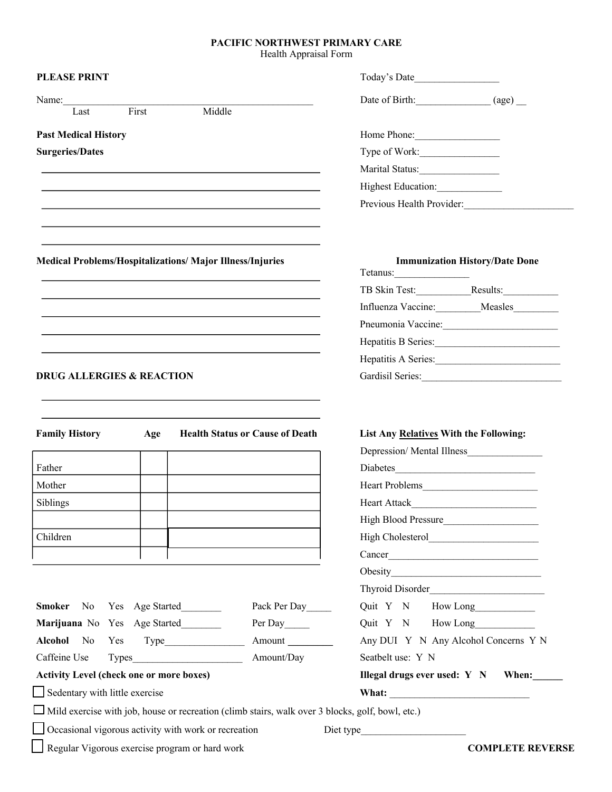## **PACIFIC NORTHWEST PRIMARY CARE**

Health Appraisal Form

| <b>PLEASE PRINT</b>                                                                                     |                    |              | Today's Date                            |                                       |
|---------------------------------------------------------------------------------------------------------|--------------------|--------------|-----------------------------------------|---------------------------------------|
| Name:                                                                                                   |                    |              |                                         |                                       |
| First<br>Last                                                                                           | Middle             |              |                                         |                                       |
| <b>Past Medical History</b>                                                                             |                    |              | Home Phone:                             |                                       |
| <b>Surgeries/Dates</b>                                                                                  |                    |              | Type of Work:                           |                                       |
|                                                                                                         |                    |              | Marital Status:                         |                                       |
|                                                                                                         |                    |              | Highest Education:                      |                                       |
|                                                                                                         |                    |              | Previous Health Provider:               |                                       |
|                                                                                                         |                    |              |                                         |                                       |
| <b>Medical Problems/Hospitalizations/ Major Illness/Injuries</b>                                        |                    |              |                                         | <b>Immunization History/Date Done</b> |
|                                                                                                         |                    |              | Tetanus:                                |                                       |
|                                                                                                         |                    |              |                                         |                                       |
|                                                                                                         |                    |              |                                         | Influenza Vaccine: Measles            |
|                                                                                                         |                    |              |                                         | Pneumonia Vaccine:                    |
|                                                                                                         |                    |              |                                         | Hepatitis B Series: 1988              |
| <b>DRUG ALLERGIES &amp; REACTION</b>                                                                    |                    |              | Hepatitis A Series:<br>Gardisil Series: |                                       |
| <b>Family History</b><br><b>Health Status or Cause of Death</b><br>Age                                  |                    |              | List Any Relatives With the Following:  |                                       |
|                                                                                                         |                    |              |                                         | Depression/Mental Illness             |
| Father                                                                                                  |                    |              | Diabetes                                |                                       |
| Mother                                                                                                  |                    |              | Heart Problems                          |                                       |
| Siblings                                                                                                |                    |              |                                         |                                       |
|                                                                                                         |                    |              | High Blood Pressure                     |                                       |
| Children                                                                                                |                    |              |                                         |                                       |
|                                                                                                         |                    |              |                                         | Cancer                                |
|                                                                                                         |                    |              |                                         |                                       |
|                                                                                                         |                    |              |                                         |                                       |
| <b>Smoker</b>                                                                                           | No Yes Age Started | Pack Per Day | Quit Y N How Long                       |                                       |
| Marijuana No Yes Age Started                                                                            |                    | Per Day      | Quit Y N How Long                       |                                       |
| Alcohol No<br>Yes                                                                                       |                    | Amount       |                                         | Any DUI Y N Any Alcohol Concerns Y N  |
| Amount/Day<br>Caffeine Use<br>Types                                                                     |                    |              | Seatbelt use: Y N                       |                                       |
| <b>Activity Level (check one or more boxes)</b>                                                         |                    |              | Illegal drugs ever used: $Y \ N$ When:  |                                       |
| Sedentary with little exercise                                                                          |                    |              |                                         |                                       |
| $\Box$ Mild exercise with job, house or recreation (climb stairs, walk over 3 blocks, golf, bowl, etc.) |                    |              |                                         |                                       |
| □ Occasional vigorous activity with work or recreation                                                  |                    |              |                                         |                                       |
| Regular Vigorous exercise program or hard work                                                          |                    |              |                                         | <b>COMPLETE REVERSE</b>               |